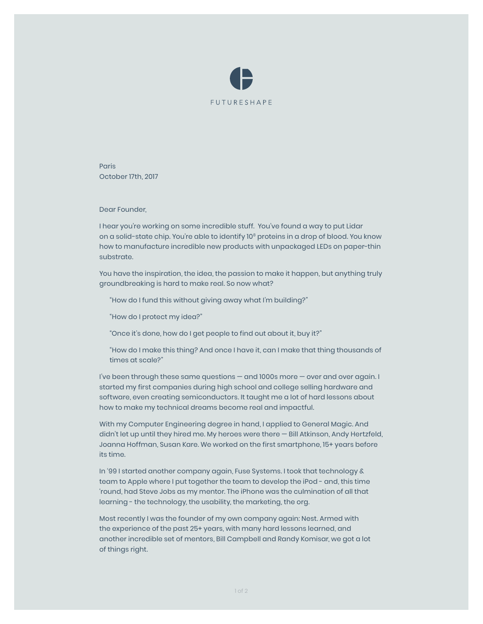

**Paris** October 17th, 2017

Dear Founder,

I hear you're working on some incredible stuff. You've found a way to put Lidar on a solid-state chip. You're able to identify 10<sup>8</sup> proteins in a drop of blood. You know how to manufacture incredible new products with unpackaged LEDs on paper-thin substrate.

You have the inspiration, the idea, the passion to make it happen, but anything truly groundbreaking is hard to make real. So now what?

"How do I fund this without giving away what I'm building?"

"How do I protect my idea?"

"Once it's done, how do I get people to find out about it, buy it?"

"How do I make this thing? And once I have it, can I make that thing thousands of times at scale?"

I've been through these same questions — and 1000s more — over and over again. I started my first companies during high school and college selling hardware and software, even creating semiconductors. It taught me a lot of hard lessons about how to make my technical dreams become real and impactful.

With my Computer Engineering degree in hand, I applied to General Magic. And didn't let up until they hired me. My heroes were there — Bill Atkinson, Andy Hertzfeld, Joanna Hoffman, Susan Kare. We worked on the first smartphone, 15+ years before its time.

In '99 I started another company again, Fuse Systems. I took that technology & team to Apple where I put together the team to develop the iPod - and, this time 'round, had Steve Jobs as my mentor. The iPhone was the culmination of all that learning - the technology, the usability, the marketing, the org.

Most recently I was the founder of my own company again: Nest. Armed with the experience of the past 25+ years, with many hard lessons learned, and another incredible set of mentors, Bill Campbell and Randy Komisar, we got a lot of things right.